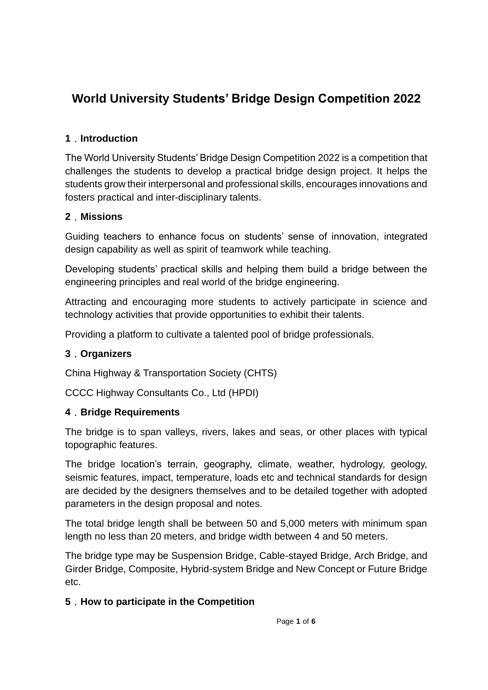# **World University Students' Bridge Design Competition 2022**

### **1**.**Introduction**

The World University Students' Bridge Design Competition 2022 is a competition that challenges the students to develop a practical bridge design project. It helps the students grow their interpersonal and professional skills, encourages innovations and fosters practical and inter-disciplinary talents.

### **2**.**Missions**

Guiding teachers to enhance focus on students' sense of innovation, integrated design capability as well as spirit of teamwork while teaching.

Developing students' practical skills and helping them build a bridge between the engineering principles and real world of the bridge engineering.

Attracting and encouraging more students to actively participate in science and technology activities that provide opportunities to exhibit their talents.

Providing a platform to cultivate a talented pool of bridge professionals.

#### **3**.**Organizers**

China Highway & Transportation Society (CHTS)

CCCC Highway Consultants Co., Ltd (HPDI)

#### **4**.**Bridge Requirements**

The bridge is to span valleys, rivers, lakes and seas, or other places with typical topographic features.

The bridge location's terrain, geography, climate, weather, hydrology, geology, seismic features, impact, temperature, loads etc and technical standards for design are decided by the designers themselves and to be detailed together with adopted parameters in the design proposal and notes.

The total bridge length shall be between 50 and 5,000 meters with minimum span length no less than 20 meters, and bridge width between 4 and 50 meters.

The bridge type may be Suspension Bridge, Cable-stayed Bridge, Arch Bridge, and Girder Bridge, Composite, Hybrid-system Bridge and New Concept or Future Bridge etc.

### **5**.**How to participate in the Competition**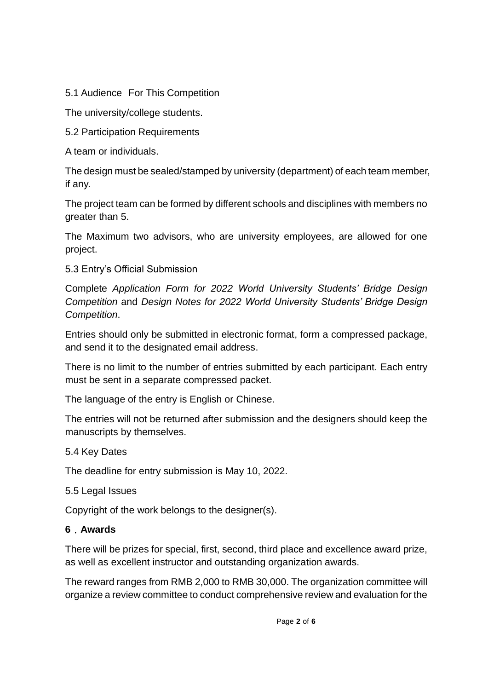5.1 Audience For This Competition

The university/college students.

5.2 Participation Requirements

A team or individuals.

The design must be sealed/stamped by university (department) of each team member, if any.

The project team can be formed by different schools and disciplines with members no greater than 5.

The Maximum two advisors, who are university employees, are allowed for one project.

5.3 Entry's Official Submission

Complete *Application Form for 2022 World University Students' Bridge Design Competition* and *Design Notes for 2022 World University Students' Bridge Design Competition*.

Entries should only be submitted in electronic format, form a compressed package, and send it to the designated email address.

There is no limit to the number of entries submitted by each participant. Each entry must be sent in a separate compressed packet.

The language of the entry is English or Chinese.

The entries will not be returned after submission and the designers should keep the manuscripts by themselves.

5.4 Key Dates

The deadline for entry submission is May 10, 2022.

5.5 Legal Issues

Copyright of the work belongs to the designer(s).

#### **6**.**Awards**

There will be prizes for special, first, second, third place and excellence award prize, as well as excellent instructor and outstanding organization awards.

The reward ranges from RMB 2,000 to RMB 30,000. The organization committee will organize a review committee to conduct comprehensive review and evaluation for the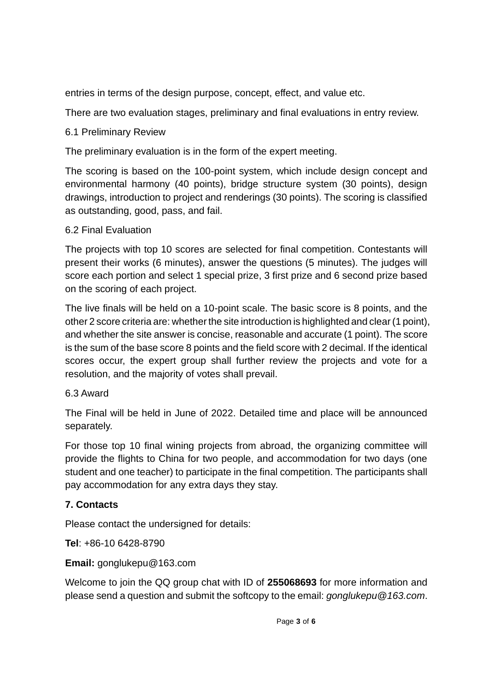entries in terms of the design purpose, concept, effect, and value etc.

There are two evaluation stages, preliminary and final evaluations in entry review.

### 6.1 Preliminary Review

The preliminary evaluation is in the form of the expert meeting.

The scoring is based on the 100-point system, which include design concept and environmental harmony (40 points), bridge structure system (30 points), design drawings, introduction to project and renderings (30 points). The scoring is classified as outstanding, good, pass, and fail.

### 6.2 Final Evaluation

The projects with top 10 scores are selected for final competition. Contestants will present their works (6 minutes), answer the questions (5 minutes). The judges will score each portion and select 1 special prize, 3 first prize and 6 second prize based on the scoring of each project.

The live finals will be held on a 10-point scale. The basic score is 8 points, and the other 2 score criteria are: whether the site introduction is highlighted and clear (1 point), and whether the site answer is concise, reasonable and accurate (1 point). The score is the sum of the base score 8 points and the field score with 2 decimal. If the identical scores occur, the expert group shall further review the projects and vote for a resolution, and the majority of votes shall prevail.

## 6.3 Award

The Final will be held in June of 2022. Detailed time and place will be announced separately.

For those top 10 final wining projects from abroad, the organizing committee will provide the flights to China for two people, and accommodation for two days (one student and one teacher) to participate in the final competition. The participants shall pay accommodation for any extra days they stay.

## **7. Contacts**

Please contact the undersigned for details:

**Tel**: +86-10 6428-8790

**Email:** gonglukepu@163.com

Welcome to join the QQ group chat with ID of **255068693** for more information and please send a question and submit the softcopy to the email: *gonglukepu@163.com*.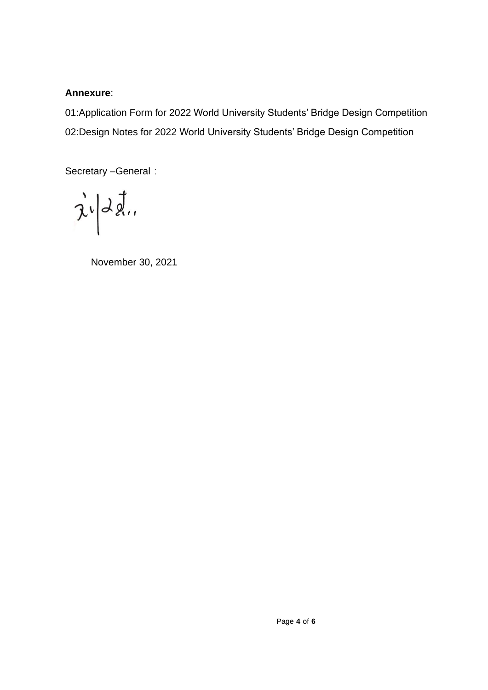#### **Annexure**:

01:Application Form for 2022 World University Students' Bridge Design Competition 02:Design Notes for 2022 World University Students' Bridge Design Competition

Secretary -General:

 $\vec{\lambda}^i \middle| d\vec{\lambda}$ 

November 30, 2021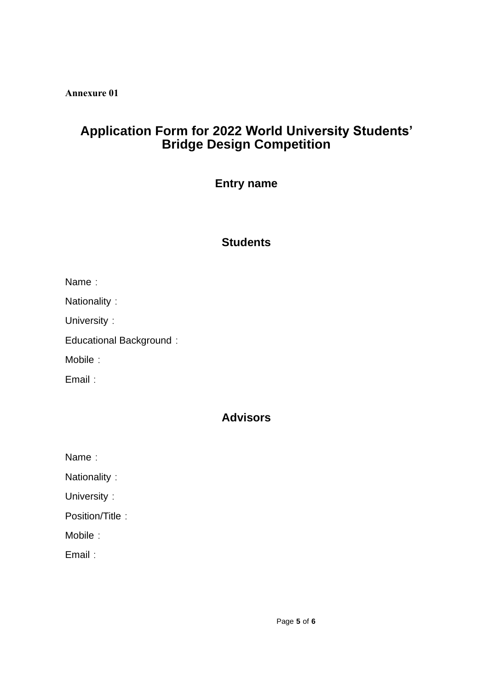**Annexure 01**

# **Application Form for 2022 World University Students' Bridge Design Competition**

## **Entry name**

# **Students**

| Name |  |
|------|--|
|      |  |

| Nationality |  |
|-------------|--|
|-------------|--|

University:

Educational Background:

Mobile:

Email:

## **Advisors**

| Name |  |
|------|--|
|      |  |
|      |  |

| Nationality |  |  |
|-------------|--|--|
|-------------|--|--|

University:

Position/Title:

Mobile:

Email: